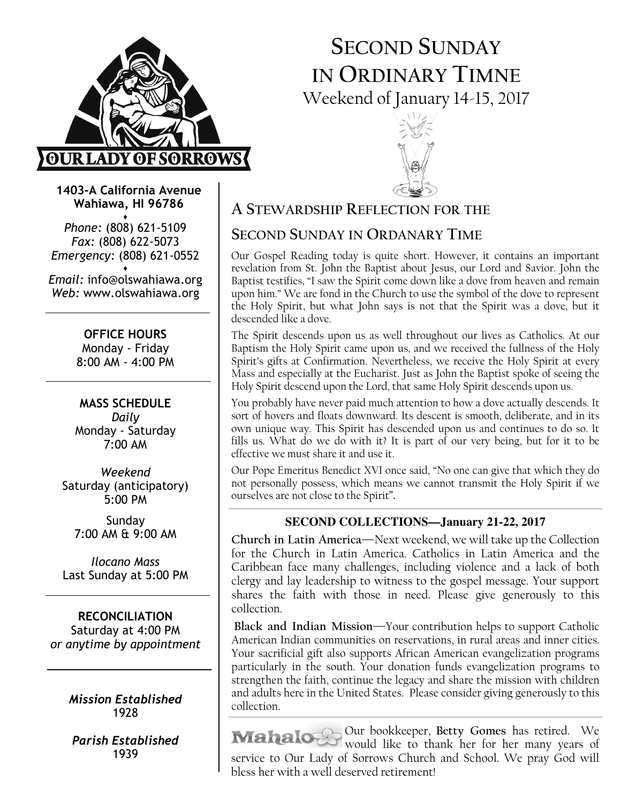

# SECOND SUNDAY IN ORDINARY TIMNE Weekend of January 14-15, 2017



1403-A California Avenue Wahiawa, HI 96786

♦ Phone: (808) 621-5109 Fax: (808) 622-5073 Emergency: (808) 621-0552 ♦

Email: info@olswahiawa.org Web: www.olswahiawa.org

> OFFICE HOURS Monday - Friday 8:00 AM - 4:00 PM

MASS SCHEDULE Daily Monday - Saturday 7:00 AM

Weekend Saturday (anticipatory) 5:00 PM

Sunday 7:00 AM & 9:00 AM

Ilocano Mass Last Sunday at 5:00 PM

RECONCILIATION Saturday at 4:00 PM or anytime by appointment

> Mission Established 1928

Parish Established 1939

## A STEWARDSHIP REFLECTION FOR THE

## SECOND SUNDAY IN ORDANARY TIME

Our Gospel Reading today is quite short. However, it contains an important revelation from St. John the Baptist about Jesus, our Lord and Savior. John the Baptist testifies, "I saw the Spirit come down like a dove from heaven and remain upon him." We are fond in the Church to use the symbol of the dove to represent the Holy Spirit, but what John says is not that the Spirit was a dove, but it descended like a dove.

The Spirit descends upon us as well throughout our lives as Catholics. At our Baptism the Holy Spirit came upon us, and we received the fullness of the Holy Spirit's gifts at Confirmation. Nevertheless, we receive the Holy Spirit at every Mass and especially at the Eucharist. Just as John the Baptist spoke of seeing the Holy Spirit descend upon the Lord, that same Holy Spirit descends upon us.

You probably have never paid much attention to how a dove actually descends. It sort of hovers and floats downward. Its descent is smooth, deliberate, and in its own unique way. This Spirit has descended upon us and continues to do so. It fills us. What do we do with it? It is part of our very being, but for it to be effective we must share it and use it.

Our Pope Emeritus Benedict XVI once said, "No one can give that which they do not personally possess, which means we cannot transmit the Holy Spirit if we ourselves are not close to the Spirit".

### **SECOND COLLECTIONS—January 21-22, 2017**

Church in Latin America—Next weekend, we will take up the Collection for the Church in Latin America. Catholics in Latin America and the Caribbean face many challenges, including violence and a lack of both clergy and lay leadership to witness to the gospel message. Your support shares the faith with those in need. Please give generously to this collection.

Black and Indian Mission—Your contribution helps to support Catholic American Indian communities on reservations, in rural areas and inner cities. Your sacrificial gift also supports African American evangelization programs particularly in the south. Your donation funds evangelization programs to strengthen the faith, continue the legacy and share the mission with children and adults here in the United States. Please consider giving generously to this collection.

Our bookkeeper, Betty Gomes has retired. We would like to thank her for her many years of service to Our Lady of Sorrows Church and School. We pray God will bless her with a well deserved retirement!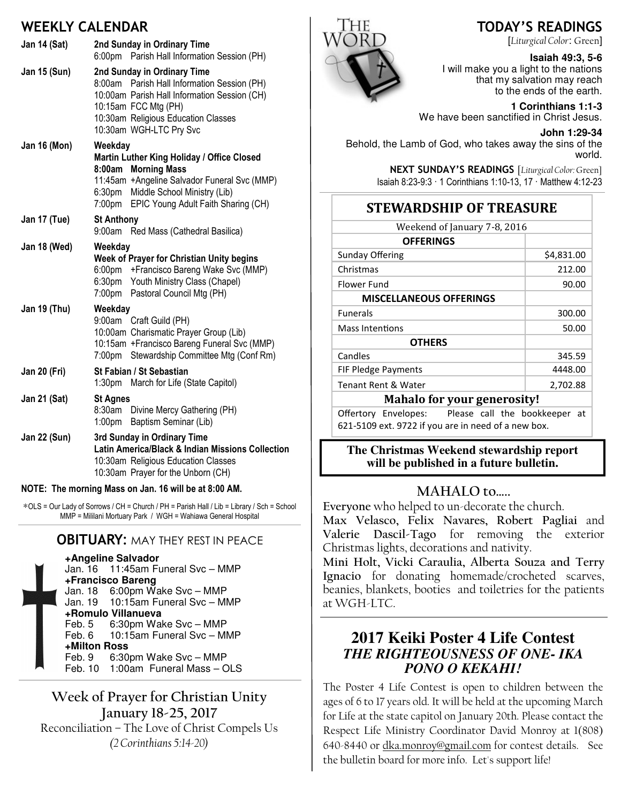## WEEKLY CALENDAR

| <b>Jan 14 (Sat)</b> | 2nd Sunday in Ordinary Time<br>Parish Hall Information Session (PH)<br>6:00 <sub>pm</sub>                                                                                                                                                     |  |
|---------------------|-----------------------------------------------------------------------------------------------------------------------------------------------------------------------------------------------------------------------------------------------|--|
| Jan 15 (Sun)        | 2nd Sunday in Ordinary Time<br>Parish Hall Information Session (PH)<br>8:00am<br>10:00am Parish Hall Information Session (CH)<br>10:15am FCC Mtg (PH)<br>10:30am Religious Education Classes<br>10:30am WGH-LTC Pry Svc                       |  |
| <b>Jan 16 (Mon)</b> | Weekday<br>Martin Luther King Holiday / Office Closed<br><b>Morning Mass</b><br>8:00am<br>11:45am +Angeline Salvador Funeral Svc (MMP)<br>Middle School Ministry (Lib)<br>6:30 <sub>pm</sub><br>7:00pm<br>EPIC Young Adult Faith Sharing (CH) |  |
| Jan 17 (Tue)        | <b>St Anthony</b><br>9:00am<br>Red Mass (Cathedral Basilica)                                                                                                                                                                                  |  |
| Jan 18 (Wed)        | Weekday<br>Week of Prayer for Christian Unity begins<br>6:00pm + Francisco Bareng Wake Svc (MMP)<br>6:30pm Youth Ministry Class (Chapel)<br>Pastoral Council Mtg (PH)<br>7:00 <sub>pm</sub>                                                   |  |
| Jan 19 (Thu)        | Weekday<br>Craft Guild (PH)<br>9:00am<br>10:00am Charismatic Prayer Group (Lib)<br>10:15am + Francisco Bareng Funeral Svc (MMP)<br>Stewardship Committee Mtg (Conf Rm)<br>7:00pm                                                              |  |
| Jan 20 (Fri)        | St Fabian / St Sebastian<br>1:30 <sub>pm</sub><br>March for Life (State Capitol)                                                                                                                                                              |  |
| <b>Jan 21 (Sat)</b> | <b>St Agnes</b><br>8:30am<br>Divine Mercy Gathering (PH)<br>Baptism Seminar (Lib)<br>1:00 <sub>pm</sub>                                                                                                                                       |  |
| <b>Jan 22 (Sun)</b> | 3rd Sunday in Ordinary Time<br>Latin America/Black & Indian Missions Collection<br>10:30am Religious Education Classes<br>10:30am Prayer for the Unborn (CH)                                                                                  |  |

#### NOTE: The morning Mass on Jan. 16 will be at 8:00 AM.

∗OLS = Our Lady of Sorrows / CH = Church / PH = Parish Hall / Lib = Library / Sch = School MMP = Mililani Mortuary Park / WGH = Wahiawa General Hospital

### **OBITUARY: MAY THEY REST IN PEACE**

**+Angeline Salvador**  Jan. 16 11:45am Funeral Svc – MMP **+Francisco Bareng** Jan. 18 6:00pm Wake Svc – MMP Jan. 19 10:15am Funeral Svc – MMP **+Romulo Villanueva** Feb. 5 6:30pm Wake Svc – MMP<br>Feb. 6 10:15am Funeral Svc – MI 10:15am Funeral Svc – MMP **+Milton Ross** Feb. 9 6:30pm Wake Svc – MMP Feb. 10 1:00am Funeral Mass – OLS

### Week of Prayer for Christian Unity January 18-25, 2017 Reconciliation – The Love of Christ Compels Us

(2 Corinthians 5:14-20)



## TODAY'S READINGS

[Liturgical Color: Green]

#### **Isaiah 49:3, 5-6**

I will make you a light to the nations that my salvation may reach to the ends of the earth.

**1 Corinthians 1:1-3**  We have been sanctified in Christ Jesus.

**John 1:29-34** 

Behold, the Lamb of God, who takes away the sins of the world.

> NEXT SUNDAY'S READINGS [Liturgical Color: Green] Isaiah 8:23-9:3 · 1 Corinthians 1:10-13, 17 · Matthew 4:12-23

### STEWARDSHIP OF TREASURE

| Weekend of January 7-8, 2016       |            |  |
|------------------------------------|------------|--|
| <b>OFFERINGS</b>                   |            |  |
| Sunday Offering                    | \$4,831.00 |  |
| Christmas                          | 212.00     |  |
| Flower Fund                        | 90.00      |  |
| <b>MISCELLANEOUS OFFERINGS</b>     |            |  |
| <b>Funerals</b>                    | 300.00     |  |
| Mass Intentions                    | 50.00      |  |
| <b>OTHERS</b>                      |            |  |
| Candles                            | 345.59     |  |
| <b>FIF Pledge Payments</b>         | 4448.00    |  |
| Tenant Rent & Water                | 2,702.88   |  |
| <b>Mahalo for your generosity!</b> |            |  |
|                                    |            |  |

Offertory Envelopes: Please call the bookkeeper at 621-5109 ext. 9722 if you are in need of a new box.

**The Christmas Weekend stewardship report will be published in a future bulletin.** 

### MAHALO to…..

Everyone who helped to un-decorate the church.

Max Velasco, Felix Navares, Robert Pagliai and Valerie Dascil-Tago for removing the exterior Christmas lights, decorations and nativity.

Mini Holt, Vicki Caraulia, Alberta Souza and Terry Ignacio for donating homemade/crocheted scarves, beanies, blankets, booties and toiletries for the patients at WGH-LTC.

## **2017 Keiki Poster 4 Life Contest**  *THE RIGHTEOUSNESS OF ONE- IKA PONO O KEKAHI!*

The Poster 4 Life Contest is open to children between the ages of 6 to 17 years old. It will be held at the upcoming March for Life at the state capitol on January 20th. Please contact the Respect Life Ministry Coordinator David Monroy at 1(808) 640-8440 or dka.monroy@gmail.com for contest details. See the bulletin board for more info. Let's support life!